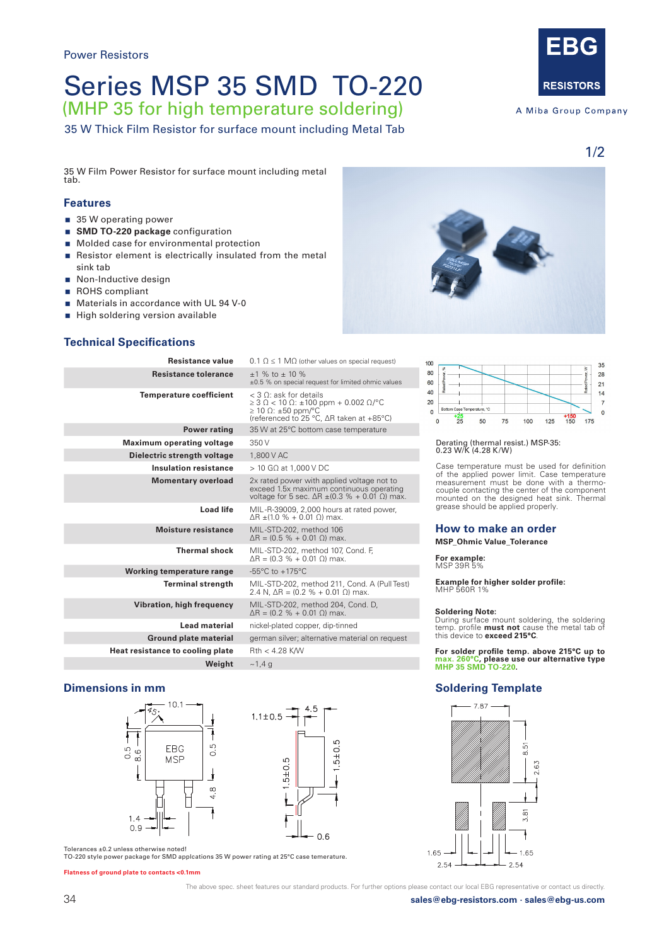# Series MSP 35 SMD TO-220

(MHP 35 for high temperature soldering)

35 W Thick Film Resistor for surface mount including Metal Tab



A Miba Group Company

1/2

35 W Film Power Resistor for surface mount including metal tab.

#### **Features**

- 35 W operating power
- **SMD TO-220 package** configuration
- **Molded case for environmental protection**
- Resistor element is electrically insulated from the metal sink tab
- Non-Inductive design
- ROHS compliant
- Materials in accordance with UL 94 V-0
- High soldering version available

### **Technical Specifications**

| <b>Resistance value</b>          | $0.1 \Omega \le 1 \text{ M}\Omega$ (other values on special request)                                                                                                          |
|----------------------------------|-------------------------------------------------------------------------------------------------------------------------------------------------------------------------------|
| Resistance tolerance             | $+1$ % to $+10$ %<br>±0.5 % on special request for limited ohmic values                                                                                                       |
| <b>Temperature coefficient</b>   | < 3 0: ask for details<br>$\geq$ 3 $\Omega$ < 10 $\Omega$ : $\pm$ 100 ppm + 0.002 $\Omega$ /°C<br>$\geq$ 10 $\Omega$ : ±50 ppm/°C<br>(referenced to 25 °C, ∆R taken at +85°C) |
| <b>Power rating</b>              | 35 W at 25°C bottom case temperature                                                                                                                                          |
| <b>Maximum operating voltage</b> | 350 V                                                                                                                                                                         |
| Dielectric strength voltage      | 1,800 V AC                                                                                                                                                                    |
| <b>Insulation resistance</b>     | $>$ 10 G $\Omega$ at 1,000 V DC                                                                                                                                               |
| <b>Momentary overload</b>        | 2x rated power with applied voltage not to<br>exceed 1.5x maximum continuous operating<br>voltage for 5 sec. $\Delta R \pm (0.3 \% + 0.01 \Omega)$ max.                       |
| <b>Load life</b>                 | MIL-R-39009, 2,000 hours at rated power,<br>ΔR $\pm$ (1.0 % + 0.01 Ω) max.                                                                                                    |
| Moisture resistance              | MIL-STD-202, method 106<br>$\Delta$ R = (0.5 % + 0.01 $\Omega$ ) max.                                                                                                         |
| <b>Thermal shock</b>             | MIL-STD-202, method 107, Cond. F,<br>$\Delta$ R = (0.3 % + 0.01 $\Omega$ ) max.                                                                                               |
| Working temperature range        | $-55^{\circ}$ C to $+175^{\circ}$ C                                                                                                                                           |
| <b>Terminal strength</b>         | MIL-STD-202, method 211, Cond. A (Pull Test)<br>2.4 N, $\Delta$ R = (0.2 % + 0.01 $\Omega$ ) max.                                                                             |
| <b>Vibration, high frequency</b> | MIL-STD-202, method 204, Cond. D,<br>$\Delta$ R = (0.2 % + 0.01 $\Omega$ ) max.                                                                                               |
| <b>Lead material</b>             | nickel-plated copper, dip-tinned                                                                                                                                              |
| <b>Ground plate material</b>     | german silver; alternative material on request                                                                                                                                |
| Heat resistance to cooling plate | $Rth < 4.28$ K/W                                                                                                                                                              |
| Weight                           | ~1,4,9                                                                                                                                                                        |
|                                  |                                                                                                                                                                               |

#### **Dimensions in mm**





Tolerances ±0.2 unless otherwise noted! TO-220 style power package for SMD applcations 35 W power rating at 25°C case temerature.

**Flatness of ground plate to contacts <0.1mm**

The above spec. sheet features our standard products. For further options please contact our local EBG representative or contact us directly.





### Derating (thermal resist.) MSP-35: 0.23 W/K (4.28 K/W)

Case temperature must be used for definition of the applied power limit. Case temperature measurement must be done with a thermocouple contacting the center of the component mounted on the designed heat sink. Thermal grease should be applied properly.

#### **How to make an order**

**MSP\_Ohmic Value\_Tolerance**

**For example:**  MSP 39R 5%

**Example for higher solder profile:**  MHP 560R 1%

**Soldering Note:** During surface mount soldering, the soldering temp. profile **must not** cause the metal tab of this device to **exceed 215°C**.

**For solder profile temp. above 215°C up to max. 260°C, please use our alternative type MHP 35 SMD TO-220.**

#### **Soldering Template**



34 **sales@ebg-resistors.com · sales@ebg-us.com**